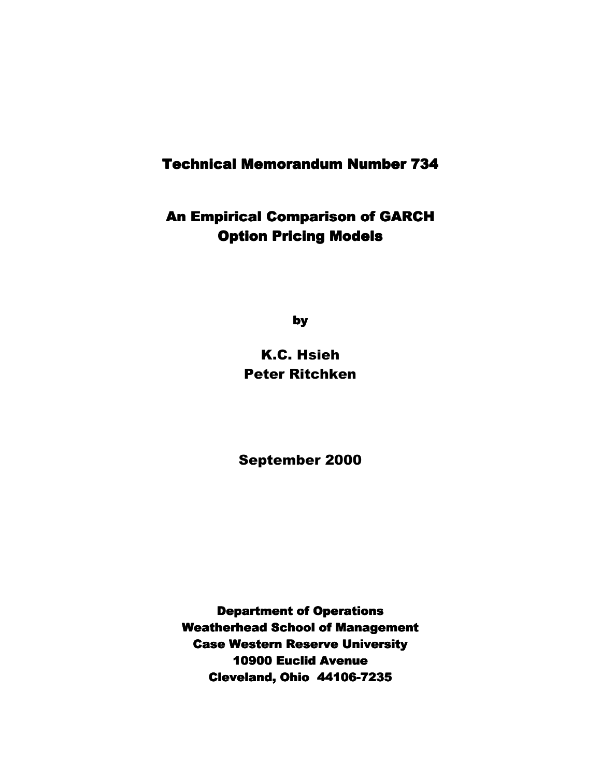# **Technical Memorandum Number 734**

# An Empirical Comparison of GARCH Empirical Comparison GARCH Option Pricing Models

by

K.C. Hsieh Peter Ritchken

September 2000

**Department of Operations Weatherhead School of Management Case Western Reserve University** 10900 Euclid Avenue Cleveland, Ohio 44106-7235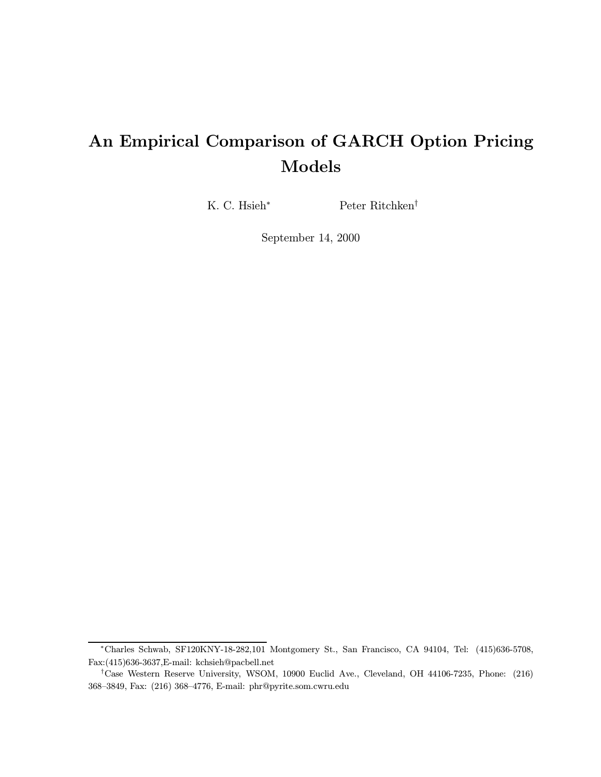# An Empirical Comparison of GARCH Option Pricing Models

K. C. Hsieh

\* Peter Ritchken<sup>†</sup>

September 14, 2000

<sup>¤</sup>Charles Schwab, SF120KNY-18-282,101 Montgomery St., San Francisco, CA 94104, Tel: (415)636-5708, Fax:(415)636-3637,E-mail: kchsieh@pacbell.net

<sup>&</sup>lt;sup>†</sup>Case Western Reserve University, WSOM, 10900 Euclid Ave., Cleveland, OH 44106-7235, Phone: (216) 368-3849, Fax: (216) 368-4776, E-mail: phr@pyrite.som.cwru.edu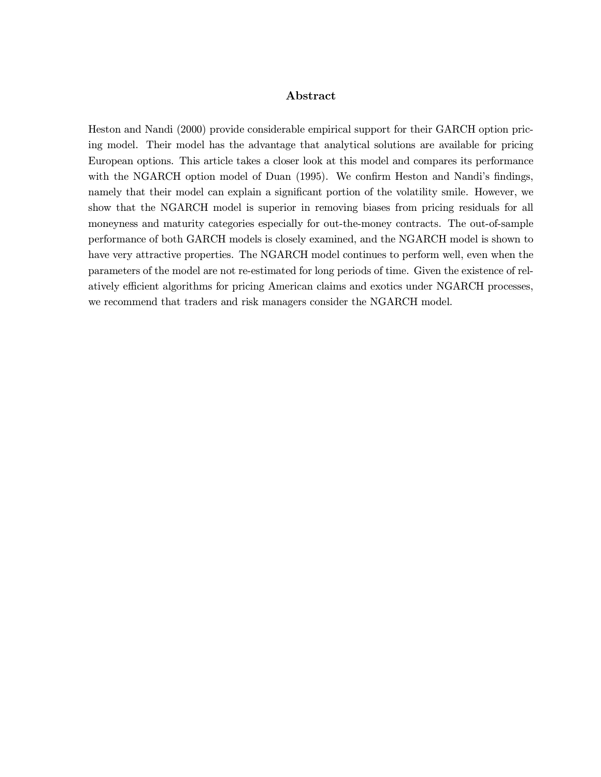### Abstract

Heston and Nandi (2000) provide considerable empirical support for their GARCH option pricing model. Their model has the advantage that analytical solutions are available for pricing European options. This article takes a closer look at this model and compares its performance with the NGARCH option model of Duan  $(1995)$ . We confirm Heston and Nandi's findings, namely that their model can explain a significant portion of the volatility smile. However, we show that the NGARCH model is superior in removing biases from pricing residuals for all moneyness and maturity categories especially for out-the-money contracts. The out-of-sample performance of both GARCH models is closely examined, and the NGARCH model is shown to have very attractive properties. The NGARCH model continues to perform well, even when the parameters of the model are not re-estimated for long periods of time. Given the existence of relatively efficient algorithms for pricing American claims and exotics under NGARCH processes, we recommend that traders and risk managers consider the NGARCH model.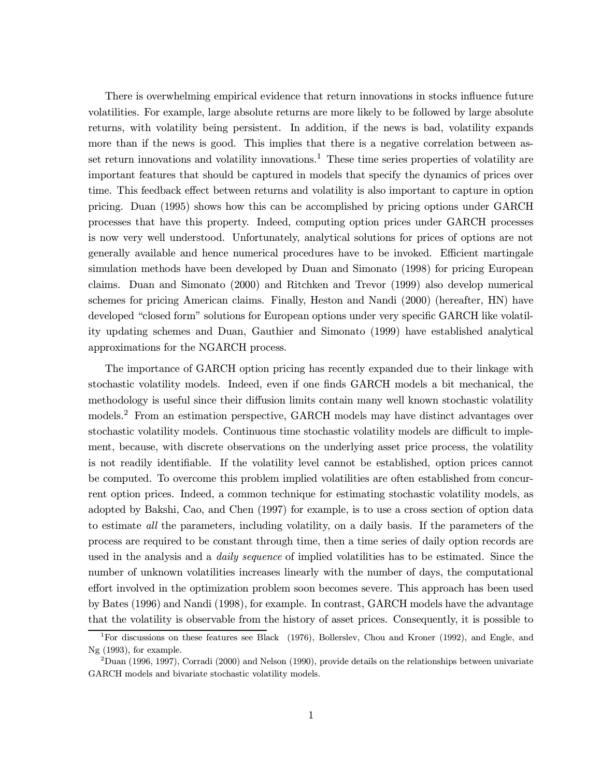There is overwhelming empirical evidence that return innovations in stocks influence future volatilities. For example, large absolute returns are more likely to be followed by large absolute returns, with volatility being persistent. In addition, if the news is bad, volatility expands more than if the news is good. This implies that there is a negative correlation between asset return innovations and volatility innovations.<sup>1</sup> These time series properties of volatility are important features that should be captured in models that specify the dynamics of prices over time. This feedback effect between returns and volatility is also important to capture in option pricing. Duan (1995) shows how this can be accomplished by pricing options under GARCH processes that have this property. Indeed, computing option prices under GARCH processes is now very well understood. Unfortunately, analytical solutions for prices of options are not generally available and hence numerical procedures have to be invoked. Efficient martingale simulation methods have been developed by Duan and Simonato (1998) for pricing European claims. Duan and Simonato (2000) and Ritchken and Trevor (1999) also develop numerical schemes for pricing American claims. Finally, Heston and Nandi (2000) (hereafter, HN) have developed "closed form" solutions for European options under very specific GARCH like volatility updating schemes and Duan, Gauthier and Simonato (1999) have established analytical approximations for the NGARCH process.

The importance of GARCH option pricing has recently expanded due to their linkage with stochastic volatility models. Indeed, even if one finds GARCH models a bit mechanical, the methodology is useful since their diffusion limits contain many well known stochastic volatility models. <sup>2</sup> From an estimation perspective, GARCH models may have distinct advantages over stochastic volatility models. Continuous time stochastic volatility models are difficult to implement, because, with discrete observations on the underlying asset price process, the volatility is not readily identifiable. If the volatility level cannot be established, option prices cannot be computed. To overcome this problem implied volatilities are often established from concurrent option prices. Indeed, a common technique for estimating stochastic volatility models, as adopted by Bakshi, Cao, and Chen (1997) for example, is to use a cross section of option data to estimate all the parameters, including volatility, on a daily basis. If the parameters of the process are required to be constant through time, then a time series of daily option records are used in the analysis and a *daily sequence* of implied volatilities has to be estimated. Since the number of unknown volatilities increases linearly with the number of days, the computational effort involved in the optimization problem soon becomes severe. This approach has been used by Bates (1996) and Nandi (1998), for example. In contrast, GARCH models have the advantage that the volatility is observable from the history of asset prices. Consequently, it is possible to

<sup>1</sup>For discussions on these features see Black (1976), Bollerslev, Chou and Kroner (1992), and Engle, and Ng (1993), for example.

 $2$ Duan (1996, 1997), Corradi (2000) and Nelson (1990), provide details on the relationships between univariate GARCH models and bivariate stochastic volatility models.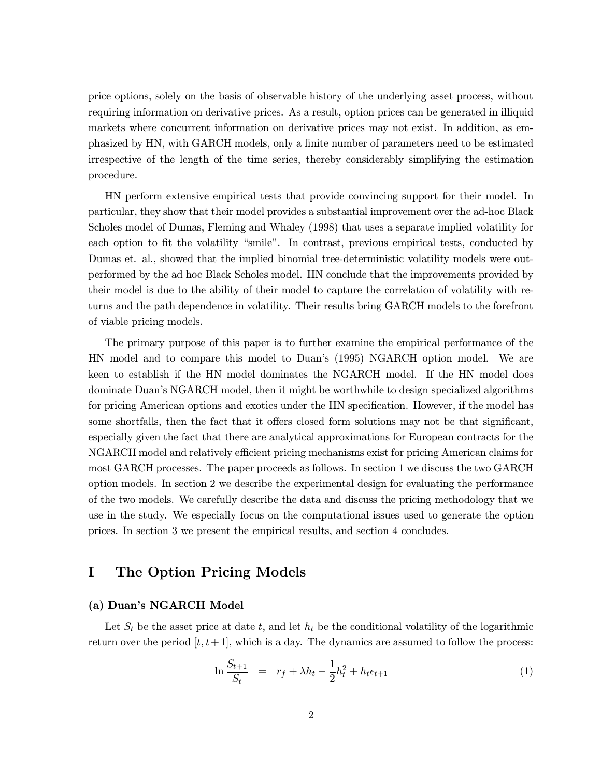price options, solely on the basis of observable history of the underlying asset process, without requiring information on derivative prices. As a result, option prices can be generated in illiquid markets where concurrent information on derivative prices may not exist. In addition, as emphasized by HN, with GARCH models, only a finite number of parameters need to be estimated irrespective of the length of the time series, thereby considerably simplifying the estimation procedure.

HN perform extensive empirical tests that provide convincing support for their model. In particular, they show that their model provides a substantial improvement over the ad-hoc Black Scholes model of Dumas, Fleming and Whaley (1998) that uses a separate implied volatility for each option to fit the volatility "smile". In contrast, previous empirical tests, conducted by Dumas et. al., showed that the implied binomial tree-deterministic volatility models were outperformed by the ad hoc Black Scholes model. HN conclude that the improvements provided by their model is due to the ability of their model to capture the correlation of volatility with returns and the path dependence in volatility. Their results bring GARCH models to the forefront of viable pricing models.

The primary purpose of this paper is to further examine the empirical performance of the HN model and to compare this model to Duan's (1995) NGARCH option model. We are keen to establish if the HN model dominates the NGARCH model. If the HN model does dominate Duan's NGARCH model, then it might be worthwhile to design specialized algorithms for pricing American options and exotics under the HN specification. However, if the model has some shortfalls, then the fact that it offers closed form solutions may not be that significant, especially given the fact that there are analytical approximations for European contracts for the NGARCH model and relatively efficient pricing mechanisms exist for pricing American claims for most GARCH processes. The paper proceeds as follows. In section 1 we discuss the two GARCH option models. In section 2 we describe the experimental design for evaluating the performance of the two models. We carefully describe the data and discuss the pricing methodology that we use in the study. We especially focus on the computational issues used to generate the option prices. In section 3 we present the empirical results, and section 4 concludes.

# I The Option Pricing Models

#### (a) Duan's NGARCH Model

Let  $S_t$  be the asset price at date t, and let  $h_t$  be the conditional volatility of the logarithmic return over the period  $[t, t+1]$ , which is a day. The dynamics are assumed to follow the process:

$$
\ln \frac{S_{t+1}}{S_t} = r_f + \lambda h_t - \frac{1}{2} h_t^2 + h_t \epsilon_{t+1}
$$
 (1)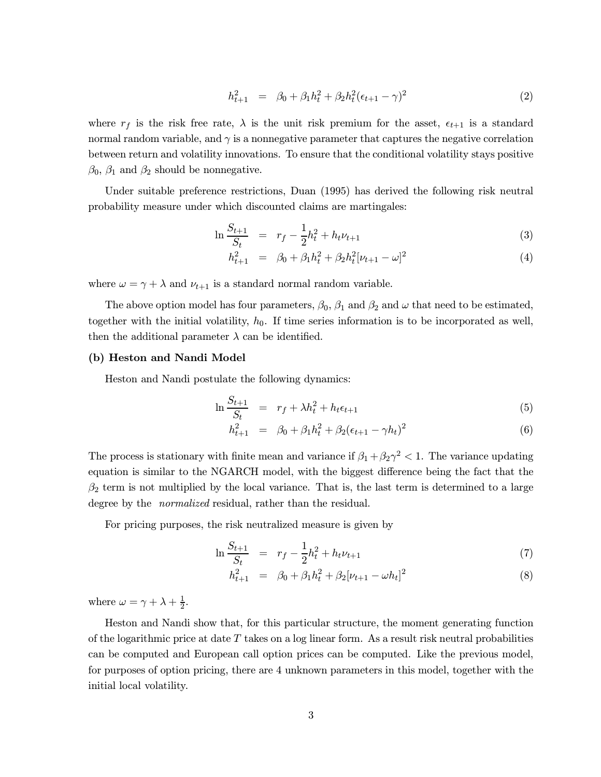$$
h_{t+1}^2 = \beta_0 + \beta_1 h_t^2 + \beta_2 h_t^2 (\epsilon_{t+1} - \gamma)^2 \tag{2}
$$

where  $r_f$  is the risk free rate,  $\lambda$  is the unit risk premium for the asset,  $\epsilon_{t+1}$  is a standard normal random variable, and  $\gamma$  is a nonnegative parameter that captures the negative correlation between return and volatility innovations. To ensure that the conditional volatility stays positive  $\beta_0$ ,  $\beta_1$  and  $\beta_2$  should be nonnegative.

Under suitable preference restrictions, Duan (1995) has derived the following risk neutral probability measure under which discounted claims are martingales:

$$
\ln \frac{S_{t+1}}{S_t} = r_f - \frac{1}{2}h_t^2 + h_t \nu_{t+1} \tag{3}
$$

$$
h_{t+1}^2 = \beta_0 + \beta_1 h_t^2 + \beta_2 h_t^2 [\nu_{t+1} - \omega]^2 \tag{4}
$$

where  $\omega = \gamma + \lambda$  and  $\nu_{t+1}$  is a standard normal random variable.

The above option model has four parameters,  $\beta_0$ ,  $\beta_1$  and  $\beta_2$  and  $\omega$  that need to be estimated, together with the initial volatility,  $h_0$ . If time series information is to be incorporated as well, then the additional parameter  $\lambda$  can be identified.

#### (b) Heston and Nandi Model

Heston and Nandi postulate the following dynamics:

$$
\ln \frac{S_{t+1}}{S_t} = r_f + \lambda h_t^2 + h_t \epsilon_{t+1} \tag{5}
$$

$$
h_{t+1}^2 = \beta_0 + \beta_1 h_t^2 + \beta_2 (\epsilon_{t+1} - \gamma h_t)^2
$$
\n(6)

The process is stationary with finite mean and variance if  $\beta_1 + \beta_2 \gamma^2 < 1$ . The variance updating equation is similar to the NGARCH model, with the biggest difference being the fact that the  $\beta_2$  term is not multiplied by the local variance. That is, the last term is determined to a large degree by the *normalized* residual, rather than the residual.

For pricing purposes, the risk neutralized measure is given by

$$
\ln \frac{S_{t+1}}{S_t} = r_f - \frac{1}{2}h_t^2 + h_t \nu_{t+1} \tag{7}
$$

$$
h_{t+1}^2 = \beta_0 + \beta_1 h_t^2 + \beta_2 [\nu_{t+1} - \omega h_t]^2 \tag{8}
$$

where  $\omega = \gamma + \lambda + \frac{1}{2}$ .

Heston and Nandi show that, for this particular structure, the moment generating function of the logarithmic price at date  $T$  takes on a log linear form. As a result risk neutral probabilities can be computed and European call option prices can be computed. Like the previous model, for purposes of option pricing, there are 4 unknown parameters in this model, together with the initial local volatility.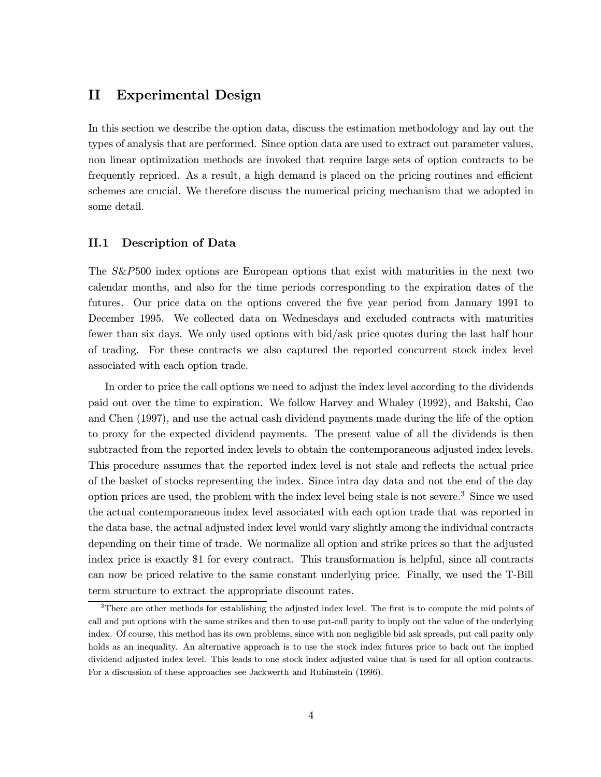## II Experimental Design

In this section we describe the option data, discuss the estimation methodology and lay out the types of analysis that are performed. Since option data are used to extract out parameter values, non linear optimization methods are invoked that require large sets of option contracts to be frequently repriced. As a result, a high demand is placed on the pricing routines and efficient schemes are crucial. We therefore discuss the numerical pricing mechanism that we adopted in some detail.

### II.1 Description of Data

The S&P500 index options are European options that exist with maturities in the next two calendar months, and also for the time periods corresponding to the expiration dates of the futures. Our price data on the options covered the five year period from January 1991 to December 1995. We collected data on Wednesdays and excluded contracts with maturities fewer than six days. We only used options with bid/ask price quotes during the last half hour of trading. For these contracts we also captured the reported concurrent stock index level associated with each option trade.

In order to price the call options we need to adjust the index level according to the dividends paid out over the time to expiration. We follow Harvey and Whaley (1992), and Bakshi, Cao and Chen (1997), and use the actual cash dividend payments made during the life of the option to proxy for the expected dividend payments. The present value of all the dividends is then subtracted from the reported index levels to obtain the contemporaneous adjusted index levels. This procedure assumes that the reported index level is not stale and reflects the actual price of the basket of stocks representing the index. Since intra day data and not the end of the day option prices are used, the problem with the index level being stale is not severe. <sup>3</sup> Since we used the actual contemporaneous index level associated with each option trade that was reported in the data base, the actual adjusted index level would vary slightly among the individual contracts depending on their time of trade. We normalize all option and strike prices so that the adjusted index price is exactly \$1 for every contract. This transformation is helpful, since all contracts can now be priced relative to the same constant underlying price. Finally, we used the T-Bill term structure to extract the appropriate discount rates.

 ${}^{3}$ There are other methods for establishing the adjusted index level. The first is to compute the mid points of call and put options with the same strikes and then to use put-call parity to imply out the value of the underlying index. Of course, this method has its own problems, since with non negligible bid ask spreads, put call parity only holds as an inequality. An alternative approach is to use the stock index futures price to back out the implied dividend adjusted index level. This leads to one stock index adjusted value that is used for all option contracts. For a discussion of these approaches see Jackwerth and Rubinstein (1996).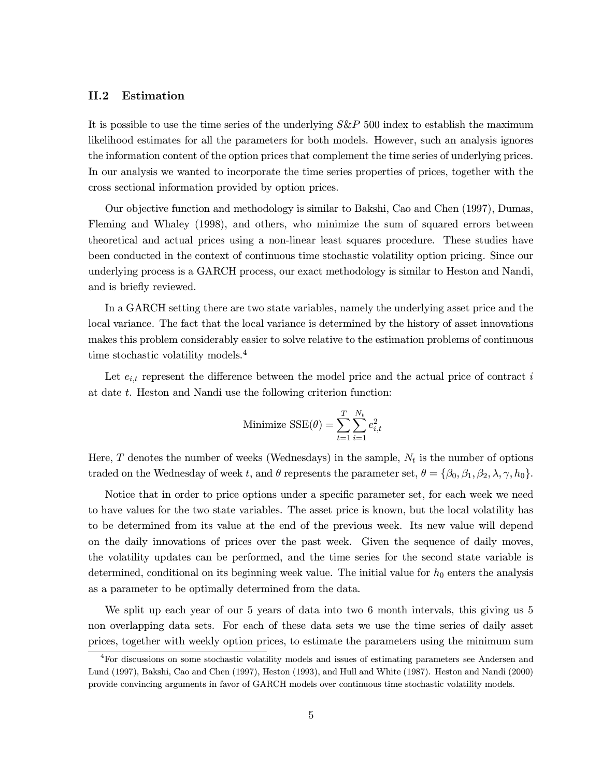#### II.2 Estimation

It is possible to use the time series of the underlying  $S\&P$  500 index to establish the maximum likelihood estimates for all the parameters for both models. However, such an analysis ignores the information content of the option prices that complement the time series of underlying prices. In our analysis we wanted to incorporate the time series properties of prices, together with the cross sectional information provided by option prices.

Our objective function and methodology is similar to Bakshi, Cao and Chen (1997), Dumas, Fleming and Whaley (1998), and others, who minimize the sum of squared errors between theoretical and actual prices using a non-linear least squares procedure. These studies have been conducted in the context of continuous time stochastic volatility option pricing. Since our underlying process is a GARCH process, our exact methodology is similar to Heston and Nandi, and is briefly reviewed.

In a GARCH setting there are two state variables, namely the underlying asset price and the local variance. The fact that the local variance is determined by the history of asset innovations makes this problem considerably easier to solve relative to the estimation problems of continuous time stochastic volatility models.<sup>4</sup>

Let  $e_{i,t}$  represent the difference between the model price and the actual price of contract i at date t. Heston and Nandi use the following criterion function:

Minimize 
$$
SSE(\theta) = \sum_{t=1}^{T} \sum_{i=1}^{N_t} e_{i,t}^2
$$

Here, T denotes the number of weeks (Wednesdays) in the sample,  $N_t$  is the number of options traded on the Wednesday of week t, and  $\theta$  represents the parameter set,  $\theta = {\beta_0, \beta_1, \beta_2, \lambda, \gamma, h_0}.$ 

Notice that in order to price options under a specific parameter set, for each week we need to have values for the two state variables. The asset price is known, but the local volatility has to be determined from its value at the end of the previous week. Its new value will depend on the daily innovations of prices over the past week. Given the sequence of daily moves, the volatility updates can be performed, and the time series for the second state variable is determined, conditional on its beginning week value. The initial value for  $h_0$  enters the analysis as a parameter to be optimally determined from the data.

We split up each year of our 5 years of data into two 6 month intervals, this giving us 5 non overlapping data sets. For each of these data sets we use the time series of daily asset prices, together with weekly option prices, to estimate the parameters using the minimum sum

<sup>&</sup>lt;sup>4</sup>For discussions on some stochastic volatility models and issues of estimating parameters see Andersen and Lund (1997), Bakshi, Cao and Chen (1997), Heston (1993), and Hull and White (1987). Heston and Nandi (2000) provide convincing arguments in favor of GARCH models over continuous time stochastic volatility models.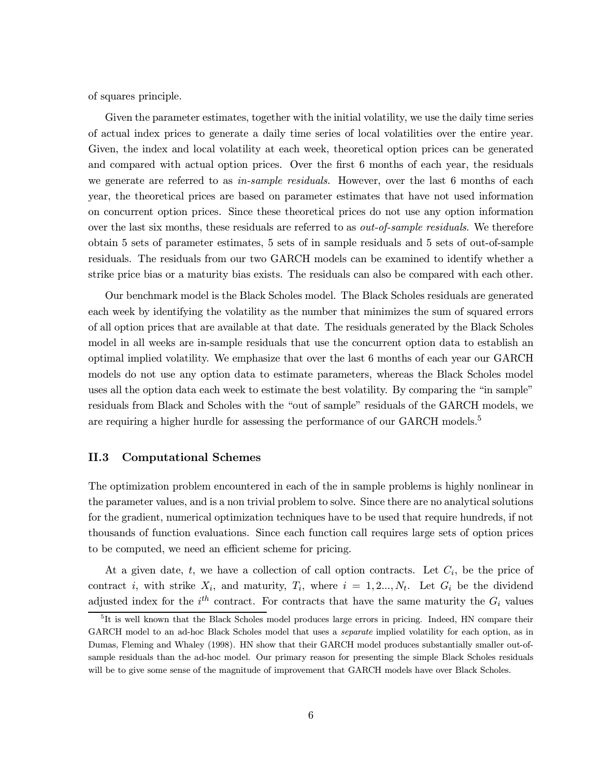of squares principle.

Given the parameter estimates, together with the initial volatility, we use the daily time series of actual index prices to generate a daily time series of local volatilities over the entire year. Given, the index and local volatility at each week, theoretical option prices can be generated and compared with actual option prices. Over the first 6 months of each year, the residuals we generate are referred to as *in-sample residuals*. However, over the last 6 months of each year, the theoretical prices are based on parameter estimates that have not used information on concurrent option prices. Since these theoretical prices do not use any option information over the last six months, these residuals are referred to as *out-of-sample residuals*. We therefore obtain 5 sets of parameter estimates, 5 sets of in sample residuals and 5 sets of out-of-sample residuals. The residuals from our two GARCH models can be examined to identify whether a strike price bias or a maturity bias exists. The residuals can also be compared with each other.

Our benchmark model is the Black Scholes model. The Black Scholes residuals are generated each week by identifying the volatility as the number that minimizes the sum of squared errors of all option prices that are available at that date. The residuals generated by the Black Scholes model in all weeks are in-sample residuals that use the concurrent option data to establish an optimal implied volatility. We emphasize that over the last 6 months of each year our GARCH models do not use any option data to estimate parameters, whereas the Black Scholes model uses all the option data each week to estimate the best volatility. By comparing the \in sample" residuals from Black and Scholes with the "out of sample" residuals of the GARCH models, we are requiring a higher hurdle for assessing the performance of our GARCH models.<sup>5</sup>

### II.3 Computational Schemes

The optimization problem encountered in each of the in sample problems is highly nonlinear in the parameter values, and is a non trivial problem to solve. Since there are no analytical solutions for the gradient, numerical optimization techniques have to be used that require hundreds, if not thousands of function evaluations. Since each function call requires large sets of option prices to be computed, we need an efficient scheme for pricing.

At a given date,  $t$ , we have a collection of call option contracts. Let  $C_i$ , be the price of contract i, with strike  $X_i$ , and maturity,  $T_i$ , where  $i = 1, 2..., N_t$ . Let  $G_i$  be the dividend adjusted index for the  $i<sup>th</sup>$  contract. For contracts that have the same maturity the  $G_i$  values

<sup>&</sup>lt;sup>5</sup>It is well known that the Black Scholes model produces large errors in pricing. Indeed, HN compare their GARCH model to an ad-hoc Black Scholes model that uses a *separate* implied volatility for each option, as in Dumas, Fleming and Whaley (1998). HN show that their GARCH model produces substantially smaller out-ofsample residuals than the ad-hoc model. Our primary reason for presenting the simple Black Scholes residuals will be to give some sense of the magnitude of improvement that GARCH models have over Black Scholes.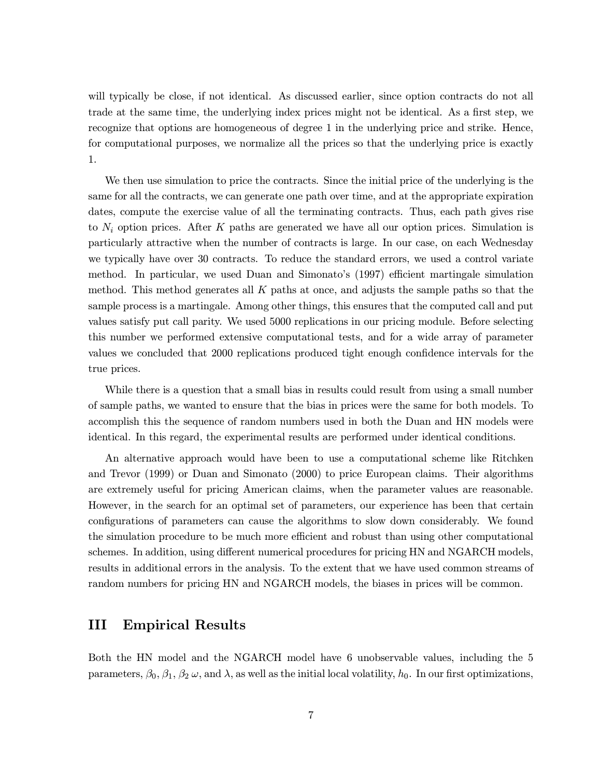will typically be close, if not identical. As discussed earlier, since option contracts do not all trade at the same time, the underlying index prices might not be identical. As a first step, we recognize that options are homogeneous of degree 1 in the underlying price and strike. Hence, for computational purposes, we normalize all the prices so that the underlying price is exactly 1.

We then use simulation to price the contracts. Since the initial price of the underlying is the same for all the contracts, we can generate one path over time, and at the appropriate expiration dates, compute the exercise value of all the terminating contracts. Thus, each path gives rise to  $N_i$  option prices. After K paths are generated we have all our option prices. Simulation is particularly attractive when the number of contracts is large. In our case, on each Wednesday we typically have over 30 contracts. To reduce the standard errors, we used a control variate method. In particular, we used Duan and Simonato's (1997) efficient martingale simulation method. This method generates all  $K$  paths at once, and adjusts the sample paths so that the sample process is a martingale. Among other things, this ensures that the computed call and put values satisfy put call parity. We used 5000 replications in our pricing module. Before selecting this number we performed extensive computational tests, and for a wide array of parameter values we concluded that 2000 replications produced tight enough confidence intervals for the true prices.

While there is a question that a small bias in results could result from using a small number of sample paths, we wanted to ensure that the bias in prices were the same for both models. To accomplish this the sequence of random numbers used in both the Duan and HN models were identical. In this regard, the experimental results are performed under identical conditions.

An alternative approach would have been to use a computational scheme like Ritchken and Trevor (1999) or Duan and Simonato (2000) to price European claims. Their algorithms are extremely useful for pricing American claims, when the parameter values are reasonable. However, in the search for an optimal set of parameters, our experience has been that certain configurations of parameters can cause the algorithms to slow down considerably. We found the simulation procedure to be much more efficient and robust than using other computational schemes. In addition, using different numerical procedures for pricing HN and NGARCH models, results in additional errors in the analysis. To the extent that we have used common streams of random numbers for pricing HN and NGARCH models, the biases in prices will be common.

### III Empirical Results

Both the HN model and the NGARCH model have 6 unobservable values, including the 5 parameters,  $\beta_0$ ,  $\beta_1$ ,  $\beta_2$   $\omega$ , and  $\lambda$ , as well as the initial local volatility,  $h_0$ . In our first optimizations,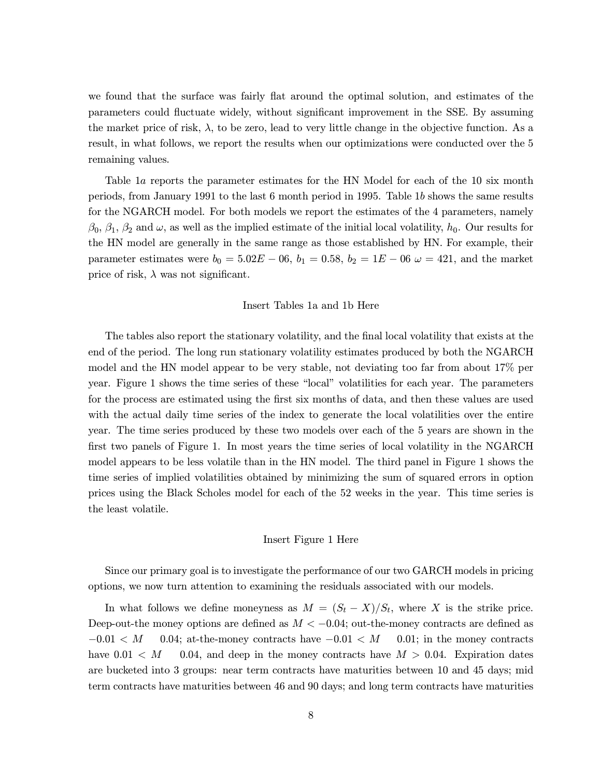we found that the surface was fairly flat around the optimal solution, and estimates of the parameters could fluctuate widely, without significant improvement in the SSE. By assuming the market price of risk,  $\lambda$ , to be zero, lead to very little change in the objective function. As a result, in what follows, we report the results when our optimizations were conducted over the 5 remaining values.

Table 1a reports the parameter estimates for the HN Model for each of the 10 six month periods, from January 1991 to the last 6 month period in 1995. Table 1b shows the same results for the NGARCH model. For both models we report the estimates of the 4 parameters, namely  $\beta_0$ ,  $\beta_1$ ,  $\beta_2$  and  $\omega$ , as well as the implied estimate of the initial local volatility,  $h_0$ . Our results for the HN model are generally in the same range as those established by HN. For example, their parameter estimates were  $b_0 = 5.02E - 06$ ,  $b_1 = 0.58$ ,  $b_2 = 1E - 06 \omega = 421$ , and the market price of risk,  $\lambda$  was not significant.

#### Insert Tables 1a and 1b Here

The tables also report the stationary volatility, and the final local volatility that exists at the end of the period. The long run stationary volatility estimates produced by both the NGARCH model and the HN model appear to be very stable, not deviating too far from about 17% per year. Figure 1 shows the time series of these \local" volatilities for each year. The parameters for the process are estimated using the first six months of data, and then these values are used with the actual daily time series of the index to generate the local volatilities over the entire year. The time series produced by these two models over each of the 5 years are shown in the first two panels of Figure 1. In most years the time series of local volatility in the NGARCH model appears to be less volatile than in the HN model. The third panel in Figure 1 shows the time series of implied volatilities obtained by minimizing the sum of squared errors in option prices using the Black Scholes model for each of the 52 weeks in the year. This time series is the least volatile.

#### Insert Figure 1 Here

Since our primary goal is to investigate the performance of our two GARCH models in pricing options, we now turn attention to examining the residuals associated with our models.

In what follows we define moneyness as  $M = (S_t - X)/S_t$ , where X is the strike price. Deep-out-the money options are defined as  $M < -0.04$ ; out-the-money contracts are defined as  $-0.01 < M$  0.04; at-the-money contracts have  $-0.01 < M$  0.01; in the money contracts have  $0.01 < M$  0.04, and deep in the money contracts have  $M > 0.04$ . Expiration dates are bucketed into 3 groups: near term contracts have maturities between 10 and 45 days; mid term contracts have maturities between 46 and 90 days; and long term contracts have maturities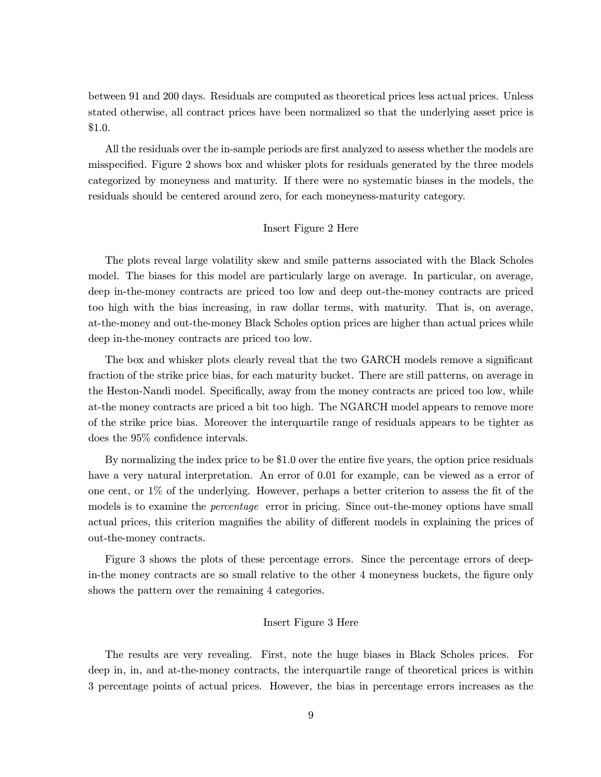between 91 and 200 days. Residuals are computed as theoretical prices less actual prices. Unless stated otherwise, all contract prices have been normalized so that the underlying asset price is \$1:0.

All the residuals over the in-sample periods are first analyzed to assess whether the models are misspecified. Figure 2 shows box and whisker plots for residuals generated by the three models categorized by moneyness and maturity. If there were no systematic biases in the models, the residuals should be centered around zero, for each moneyness-maturity category.

#### Insert Figure 2 Here

The plots reveal large volatility skew and smile patterns associated with the Black Scholes model. The biases for this model are particularly large on average. In particular, on average, deep in-the-money contracts are priced too low and deep out-the-money contracts are priced too high with the bias increasing, in raw dollar terms, with maturity. That is, on average, at-the-money and out-the-money Black Scholes option prices are higher than actual prices while deep in-the-money contracts are priced too low.

The box and whisker plots clearly reveal that the two GARCH models remove a significant fraction of the strike price bias, for each maturity bucket. There are still patterns, on average in the Heston-Nandi model. Specifically, away from the money contracts are priced too low, while at-the money contracts are priced a bit too high. The NGARCH model appears to remove more of the strike price bias. Moreover the interquartile range of residuals appears to be tighter as does the  $95\%$  confidence intervals.

By normalizing the index price to be \$1.0 over the entire five years, the option price residuals have a very natural interpretation. An error of 0.01 for example, can be viewed as a error of one cent, or  $1\%$  of the underlying. However, perhaps a better criterion to assess the fit of the models is to examine the *percentage* error in pricing. Since out-the-money options have small actual prices, this criterion magnifies the ability of different models in explaining the prices of out-the-money contracts.

Figure 3 shows the plots of these percentage errors. Since the percentage errors of deepin-the money contracts are so small relative to the other 4 moneyness buckets, the figure only shows the pattern over the remaining 4 categories.

### Insert Figure 3 Here

The results are very revealing. First, note the huge biases in Black Scholes prices. For deep in, in, and at-the-money contracts, the interquartile range of theoretical prices is within 3 percentage points of actual prices. However, the bias in percentage errors increases as the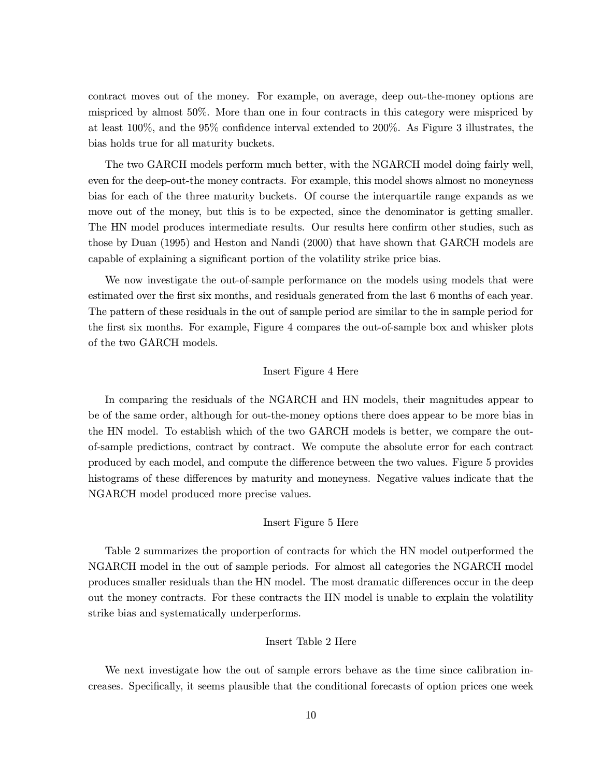contract moves out of the money. For example, on average, deep out-the-money options are mispriced by almost 50%. More than one in four contracts in this category were mispriced by at least 100%, and the  $95\%$  confidence interval extended to 200%. As Figure 3 illustrates, the bias holds true for all maturity buckets.

The two GARCH models perform much better, with the NGARCH model doing fairly well, even for the deep-out-the money contracts. For example, this model shows almost no moneyness bias for each of the three maturity buckets. Of course the interquartile range expands as we move out of the money, but this is to be expected, since the denominator is getting smaller. The HN model produces intermediate results. Our results here confirm other studies, such as those by Duan (1995) and Heston and Nandi (2000) that have shown that GARCH models are capable of explaining a significant portion of the volatility strike price bias.

We now investigate the out-of-sample performance on the models using models that were estimated over the first six months, and residuals generated from the last 6 months of each year. The pattern of these residuals in the out of sample period are similar to the in sample period for the first six months. For example, Figure 4 compares the out-of-sample box and whisker plots of the two GARCH models.

#### Insert Figure 4 Here

In comparing the residuals of the NGARCH and HN models, their magnitudes appear to be of the same order, although for out-the-money options there does appear to be more bias in the HN model. To establish which of the two GARCH models is better, we compare the outof-sample predictions, contract by contract. We compute the absolute error for each contract produced by each model, and compute the difference between the two values. Figure 5 provides histograms of these differences by maturity and moneyness. Negative values indicate that the NGARCH model produced more precise values.

#### Insert Figure 5 Here

Table 2 summarizes the proportion of contracts for which the HN model outperformed the NGARCH model in the out of sample periods. For almost all categories the NGARCH model produces smaller residuals than the HN model. The most dramatic differences occur in the deep out the money contracts. For these contracts the HN model is unable to explain the volatility strike bias and systematically underperforms.

#### Insert Table 2 Here

We next investigate how the out of sample errors behave as the time since calibration increases. Specifically, it seems plausible that the conditional forecasts of option prices one week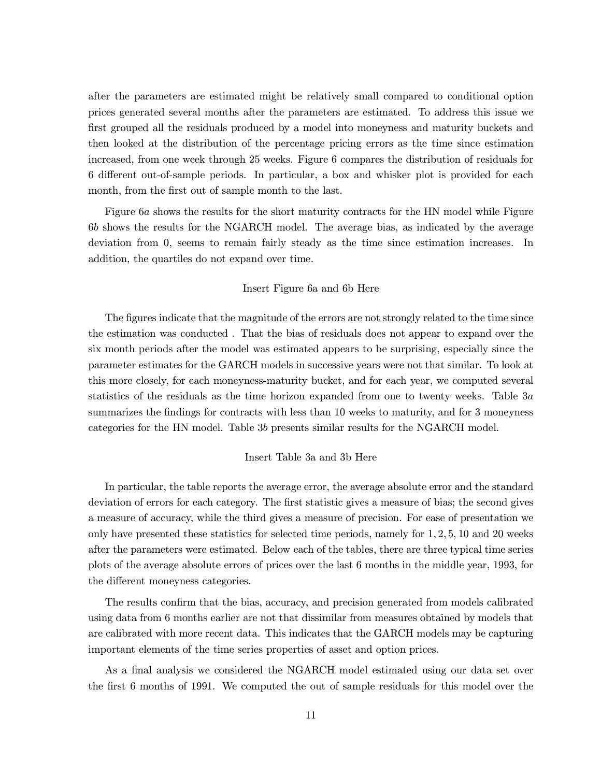after the parameters are estimated might be relatively small compared to conditional option prices generated several months after the parameters are estimated. To address this issue we first grouped all the residuals produced by a model into moneyness and maturity buckets and then looked at the distribution of the percentage pricing errors as the time since estimation increased, from one week through 25 weeks. Figure 6 compares the distribution of residuals for 6 different out-of-sample periods. In particular, a box and whisker plot is provided for each month, from the first out of sample month to the last.

Figure 6a shows the results for the short maturity contracts for the HN model while Figure 6b shows the results for the NGARCH model. The average bias, as indicated by the average deviation from 0, seems to remain fairly steady as the time since estimation increases. In addition, the quartiles do not expand over time.

#### Insert Figure 6a and 6b Here

The figures indicate that the magnitude of the errors are not strongly related to the time since the estimation was conducted . That the bias of residuals does not appear to expand over the six month periods after the model was estimated appears to be surprising, especially since the parameter estimates for the GARCH models in successive years were not that similar. To look at this more closely, for each moneyness-maturity bucket, and for each year, we computed several statistics of the residuals as the time horizon expanded from one to twenty weeks. Table 3a summarizes the findings for contracts with less than 10 weeks to maturity, and for 3 moneyness categories for the HN model. Table 3b presents similar results for the NGARCH model.

#### Insert Table 3a and 3b Here

In particular, the table reports the average error, the average absolute error and the standard deviation of errors for each category. The first statistic gives a measure of bias; the second gives a measure of accuracy, while the third gives a measure of precision. For ease of presentation we only have presented these statistics for selected time periods, namely for  $1, 2, 5, 10$  and 20 weeks after the parameters were estimated. Below each of the tables, there are three typical time series plots of the average absolute errors of prices over the last 6 months in the middle year, 1993; for the different moneyness categories.

The results confirm that the bias, accuracy, and precision generated from models calibrated using data from 6 months earlier are not that dissimilar from measures obtained by models that are calibrated with more recent data. This indicates that the GARCH models may be capturing important elements of the time series properties of asset and option prices.

As a final analysis we considered the NGARCH model estimated using our data set over the first 6 months of 1991. We computed the out of sample residuals for this model over the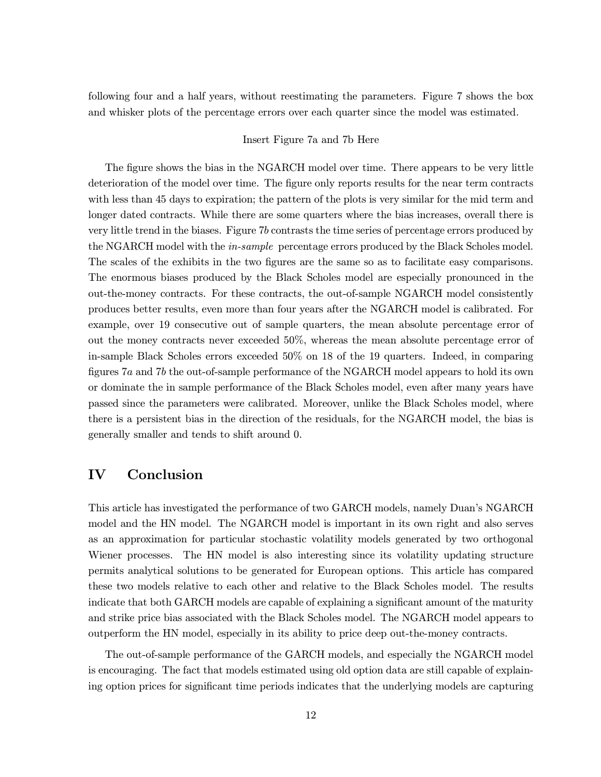following four and a half years, without reestimating the parameters. Figure 7 shows the box and whisker plots of the percentage errors over each quarter since the model was estimated.

### Insert Figure 7a and 7b Here

The figure shows the bias in the NGARCH model over time. There appears to be very little deterioration of the model over time. The figure only reports results for the near term contracts with less than 45 days to expiration; the pattern of the plots is very similar for the mid term and longer dated contracts. While there are some quarters where the bias increases, overall there is very little trend in the biases. Figure 7b contrasts the time series of percentage errors produced by the NGARCH model with the *in-sample* percentage errors produced by the Black Scholes model. The scales of the exhibits in the two figures are the same so as to facilitate easy comparisons. The enormous biases produced by the Black Scholes model are especially pronounced in the out-the-money contracts. For these contracts, the out-of-sample NGARCH model consistently produces better results, even more than four years after the NGARCH model is calibrated. For example, over 19 consecutive out of sample quarters, the mean absolute percentage error of out the money contracts never exceeded 50%, whereas the mean absolute percentage error of in-sample Black Scholes errors exceeded 50% on 18 of the 19 quarters. Indeed, in comparing figures  $7a$  and  $7b$  the out-of-sample performance of the NGARCH model appears to hold its own or dominate the in sample performance of the Black Scholes model, even after many years have passed since the parameters were calibrated. Moreover, unlike the Black Scholes model, where there is a persistent bias in the direction of the residuals, for the NGARCH model, the bias is generally smaller and tends to shift around 0.

# IV Conclusion

This article has investigated the performance of two GARCH models, namely Duan's NGARCH model and the HN model. The NGARCH model is important in its own right and also serves as an approximation for particular stochastic volatility models generated by two orthogonal Wiener processes. The HN model is also interesting since its volatility updating structure permits analytical solutions to be generated for European options. This article has compared these two models relative to each other and relative to the Black Scholes model. The results indicate that both GARCH models are capable of explaining a significant amount of the maturity and strike price bias associated with the Black Scholes model. The NGARCH model appears to outperform the HN model, especially in its ability to price deep out-the-money contracts.

The out-of-sample performance of the GARCH models, and especially the NGARCH model is encouraging. The fact that models estimated using old option data are still capable of explaining option prices for significant time periods indicates that the underlying models are capturing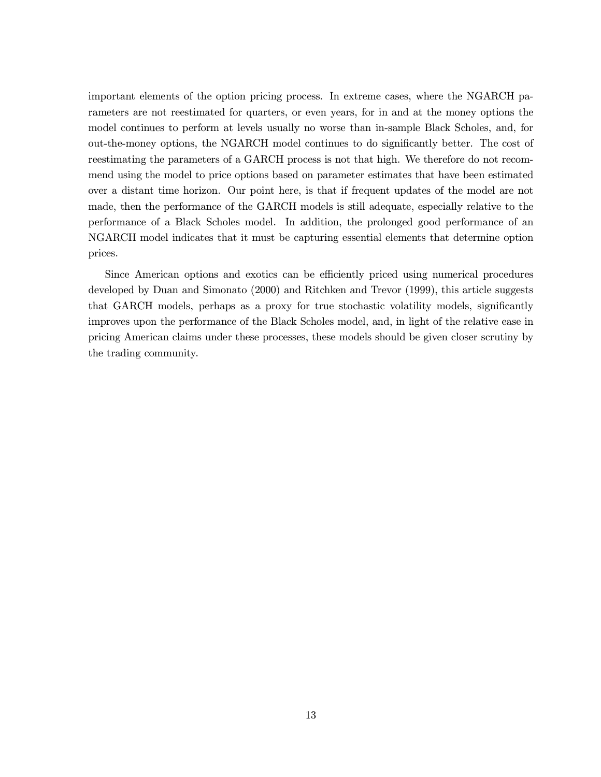important elements of the option pricing process. In extreme cases, where the NGARCH parameters are not reestimated for quarters, or even years, for in and at the money options the model continues to perform at levels usually no worse than in-sample Black Scholes, and, for out-the-money options, the NGARCH model continues to do significantly better. The cost of reestimating the parameters of a GARCH process is not that high. We therefore do not recommend using the model to price options based on parameter estimates that have been estimated over a distant time horizon. Our point here, is that if frequent updates of the model are not made, then the performance of the GARCH models is still adequate, especially relative to the performance of a Black Scholes model. In addition, the prolonged good performance of an NGARCH model indicates that it must be capturing essential elements that determine option prices.

Since American options and exotics can be efficiently priced using numerical procedures developed by Duan and Simonato (2000) and Ritchken and Trevor (1999), this article suggests that GARCH models, perhaps as a proxy for true stochastic volatility models, significantly improves upon the performance of the Black Scholes model, and, in light of the relative ease in pricing American claims under these processes, these models should be given closer scrutiny by the trading community.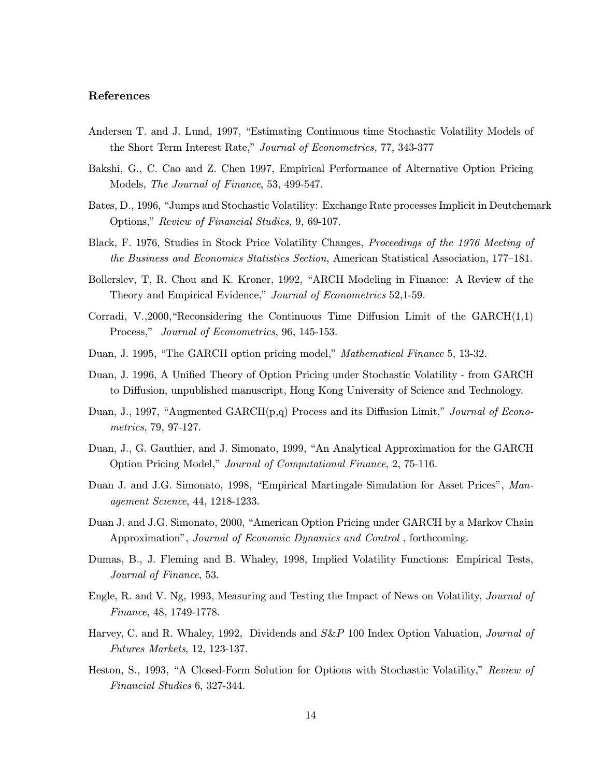### References

- Andersen T. and J. Lund, 1997, "Estimating Continuous time Stochastic Volatility Models of the Short Term Interest Rate," Journal of Econometrics, 77, 343-377
- Bakshi, G., C. Cao and Z. Chen 1997, Empirical Performance of Alternative Option Pricing Models, The Journal of Finance, 53, 499-547.
- Bates, D., 1996, "Jumps and Stochastic Volatility: Exchange Rate processes Implicit in Deutchemark Options," Review of Financial Studies, 9, 69-107.
- Black, F. 1976, Studies in Stock Price Volatility Changes, *Proceedings of the 1976 Meeting of* the Business and Economics Statistics Section, American Statistical Association, 177–181.
- Bollerslev, T, R. Chou and K. Kroner, 1992, "ARCH Modeling in Finance: A Review of the Theory and Empirical Evidence," Journal of Econometrics 52,1-59.
- Corradi, V.,2000, Reconsidering the Continuous Time Diffusion Limit of the  $GARCH(1,1)$ Process," Journal of Econometrics, 96, 145-153.
- Duan, J. 1995, "The GARCH option pricing model," *Mathematical Finance* 5, 13-32.
- Duan, J. 1996, A Unified Theory of Option Pricing under Stochastic Volatility from GARCH to Diffusion, unpublished manuscript, Hong Kong University of Science and Technology.
- Duan, J., 1997, "Augmented GARCH $(p,q)$  Process and its Diffusion Limit," *Journal of Econo*metrics, 79, 97-127.
- Duan, J., G. Gauthier, and J. Simonato, 1999, "An Analytical Approximation for the GARCH Option Pricing Model," Journal of Computational Finance, 2, 75-116.
- Duan J. and J.G. Simonato, 1998, "Empirical Martingale Simulation for Asset Prices", Management Science, 44, 1218-1233.
- Duan J. and J.G. Simonato, 2000, "American Option Pricing under GARCH by a Markov Chain Approximation", Journal of Economic Dynamics and Control , forthcoming.
- Dumas, B., J. Fleming and B. Whaley, 1998, Implied Volatility Functions: Empirical Tests, Journal of Finance, 53.
- Engle, R. and V. Ng, 1993, Measuring and Testing the Impact of News on Volatility, Journal of Finance, 48, 1749-1778.
- Harvey, C. and R. Whaley, 1992, Dividends and  $S\&P$  100 Index Option Valuation, *Journal of* Futures Markets, 12, 123-137.
- Heston, S., 1993, "A Closed-Form Solution for Options with Stochastic Volatility," Review of Financial Studies 6, 327-344.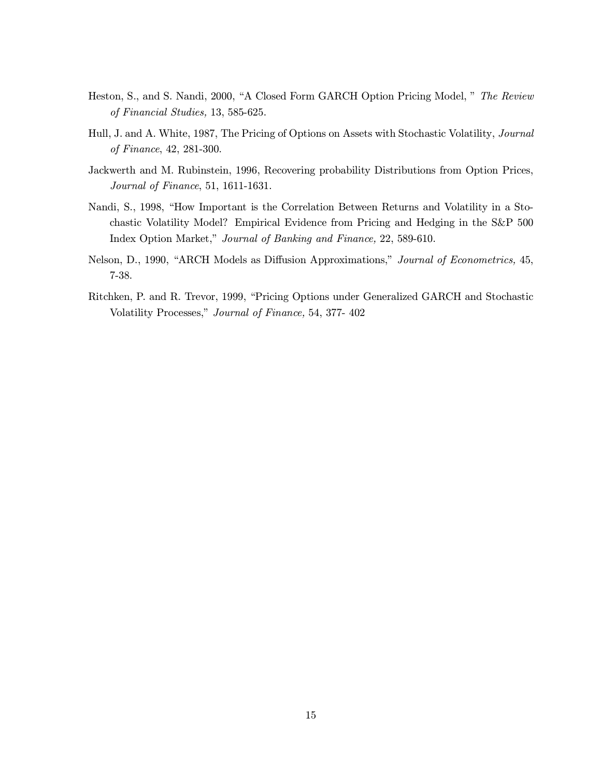- Heston, S., and S. Nandi, 2000, "A Closed Form GARCH Option Pricing Model, " The Review of Financial Studies, 13, 585-625.
- Hull, J. and A. White, 1987, The Pricing of Options on Assets with Stochastic Volatility, Journal of Finance, 42, 281-300.
- Jackwerth and M. Rubinstein, 1996, Recovering probability Distributions from Option Prices, Journal of Finance, 51, 1611-1631.
- Nandi, S., 1998, "How Important is the Correlation Between Returns and Volatility in a Stochastic Volatility Model? Empirical Evidence from Pricing and Hedging in the S&P 500 Index Option Market," Journal of Banking and Finance, 22, 589-610.
- Nelson, D., 1990, "ARCH Models as Diffusion Approximations," Journal of Econometrics, 45, 7-38.
- Ritchken, P. and R. Trevor, 1999, \Pricing Options under Generalized GARCH and Stochastic Volatility Processes," Journal of Finance, 54, 377- 402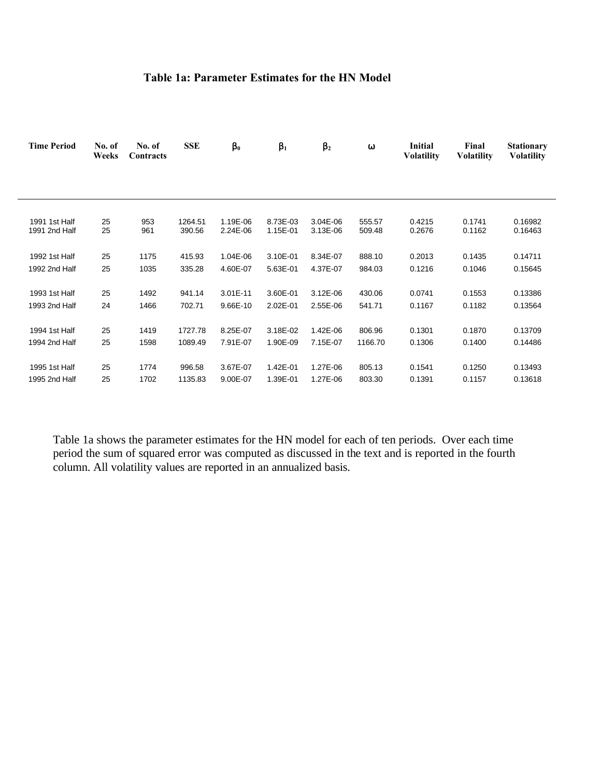### **Table 1a: Parameter Estimates for the HN Model**

| <b>Time Period</b> | No. of<br>Weeks | No. of<br>Contracts | <b>SSE</b> | $\mathbf{b}_0$ | $b1$     |          | w       | <b>Initial</b><br>Volatility | Final<br><b>Volatility</b> | <b>Stationary</b><br><b>Volatility</b> |  |
|--------------------|-----------------|---------------------|------------|----------------|----------|----------|---------|------------------------------|----------------------------|----------------------------------------|--|
|                    |                 |                     |            |                |          |          |         |                              |                            |                                        |  |
|                    |                 |                     |            |                |          |          |         |                              |                            |                                        |  |
| 1991 1st Half      | 25              | 953                 | 1264.51    | 1.19E-06       | 8.73E-03 | 3.04E-06 | 555.57  | 0.4215                       | 0.1741                     | 0.16982                                |  |
| 1991 2nd Half      | 25              | 961                 | 390.56     | 2.24E-06       | 1.15E-01 | 3.13E-06 | 509.48  | 0.2676                       | 0.1162                     | 0.16463                                |  |
|                    |                 |                     |            |                |          |          |         |                              |                            |                                        |  |
| 1992 1st Half      | 25              | 1175                | 415.93     | 1.04E-06       | 3.10E-01 | 8.34E-07 | 888.10  | 0.2013                       | 0.1435                     | 0.14711                                |  |
| 1992 2nd Half      | 25              | 1035                | 335.28     | 4.60E-07       | 5.63E-01 | 4.37E-07 | 984.03  | 0.1216                       | 0.1046                     | 0.15645                                |  |
|                    |                 |                     |            |                |          |          |         |                              |                            |                                        |  |
| 1993 1st Half      | 25              | 1492                | 941.14     | 3.01E-11       | 3.60E-01 | 3.12E-06 | 430.06  | 0.0741                       | 0.1553                     | 0.13386                                |  |
| 1993 2nd Half      | 24              | 1466                | 702.71     | 9.66E-10       | 2.02E-01 | 2.55E-06 | 541.71  | 0.1167                       | 0.1182                     | 0.13564                                |  |
| 1994 1st Half      | 25              | 1419                | 1727.78    | 8.25E-07       | 3.18E-02 | 1.42E-06 | 806.96  | 0.1301                       | 0.1870                     | 0.13709                                |  |
| 1994 2nd Half      | 25              | 1598                | 1089.49    | 7.91E-07       | 1.90E-09 | 7.15E-07 | 1166.70 | 0.1306                       | 0.1400                     | 0.14486                                |  |
|                    |                 |                     |            |                |          |          |         |                              |                            |                                        |  |
| 1995 1st Half      | 25              | 1774                | 996.58     | 3.67E-07       | 1.42E-01 | 1.27E-06 | 805.13  | 0.1541                       | 0.1250                     | 0.13493                                |  |
| 1995 2nd Half      | 25              | 1702                | 1135.83    | 9.00E-07       | 1.39E-01 | 1.27E-06 | 803.30  | 0.1391                       | 0.1157                     | 0.13618                                |  |

Table 1a shows the parameter estimates for the HN model for each of ten periods. Over each time period the sum of squared error was computed as discussed in the text and is reported in the fourth column. All volatility values are reported in an annualized basis.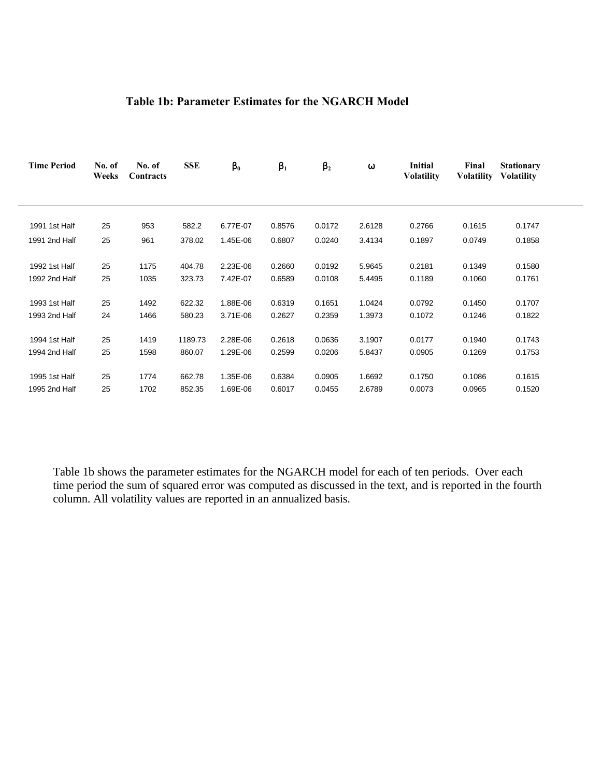### **Table 1b: Parameter Estimates for the NGARCH Model**

| <b>Time Period</b> | No. of<br>Weeks | No. of<br>Contracts | <b>SSE</b> | $\mathbf{b}_0$ | $b1$   | $\mathbf{b}_2$ | w      | <b>Initial</b><br><b>Volatility</b> | Final<br><b>Volatility</b> | <b>Stationary</b><br><b>Volatility</b> |  |
|--------------------|-----------------|---------------------|------------|----------------|--------|----------------|--------|-------------------------------------|----------------------------|----------------------------------------|--|
|                    |                 |                     |            |                |        |                |        |                                     |                            |                                        |  |
| 1991 1st Half      | 25              | 953                 | 582.2      | 6.77E-07       | 0.8576 | 0.0172         | 2.6128 | 0.2766                              | 0.1615                     | 0.1747                                 |  |
| 1991 2nd Half      | 25              | 961                 | 378.02     | 1.45E-06       | 0.6807 | 0.0240         | 3.4134 | 0.1897                              | 0.0749                     | 0.1858                                 |  |
| 1992 1st Half      | 25              | 1175                | 404.78     | $2.23E-06$     | 0.2660 | 0.0192         | 5.9645 | 0.2181                              | 0.1349                     | 0.1580                                 |  |
| 1992 2nd Half      | 25              | 1035                | 323.73     | 7.42E-07       | 0.6589 | 0.0108         | 5.4495 | 0.1189                              | 0.1060                     | 0.1761                                 |  |
| 1993 1st Half      | 25              | 1492                | 622.32     | 1.88E-06       | 0.6319 | 0.1651         | 1.0424 | 0.0792                              | 0.1450                     | 0.1707                                 |  |
| 1993 2nd Half      | 24              | 1466                | 580.23     | 3.71E-06       | 0.2627 | 0.2359         | 1.3973 | 0.1072                              | 0.1246                     | 0.1822                                 |  |
| 1994 1st Half      | 25              | 1419                | 1189.73    | 2.28E-06       | 0.2618 | 0.0636         | 3.1907 | 0.0177                              | 0.1940                     | 0.1743                                 |  |
| 1994 2nd Half      | 25              | 1598                | 860.07     | 1.29E-06       | 0.2599 | 0.0206         | 5.8437 | 0.0905                              | 0.1269                     | 0.1753                                 |  |
| 1995 1st Half      | 25              | 1774                | 662.78     | 1.35E-06       | 0.6384 | 0.0905         | 1.6692 | 0.1750                              | 0.1086                     | 0.1615                                 |  |
| 1995 2nd Half      | 25              | 1702                | 852.35     | 1.69E-06       | 0.6017 | 0.0455         | 2.6789 | 0.0073                              | 0.0965                     | 0.1520                                 |  |

Table 1b shows the parameter estimates for the NGARCH model for each of ten periods. Over each time period the sum of squared error was computed as discussed in the text, and is reported in the fourth column. All volatility values are reported in an annualized basis.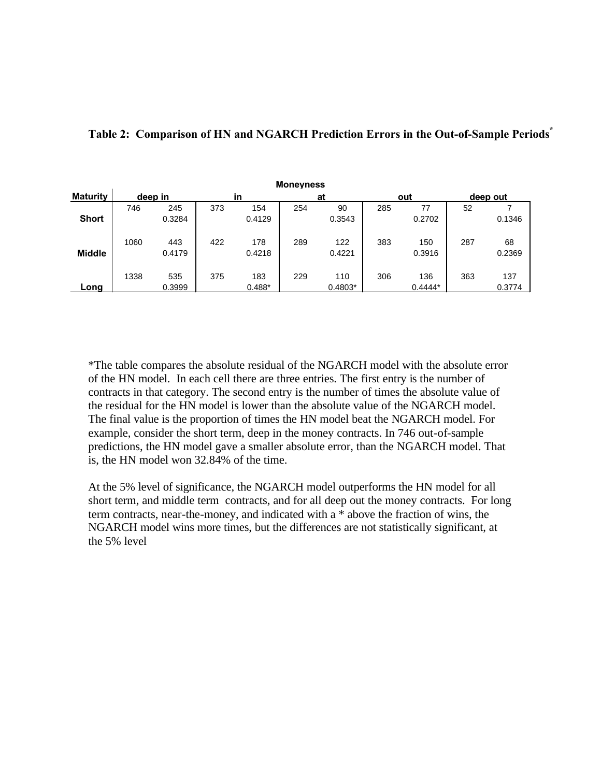|                 | <b>Moneyness</b> |               |     |                 |     |                  |     |                  |     |               |  |  |  |
|-----------------|------------------|---------------|-----|-----------------|-----|------------------|-----|------------------|-----|---------------|--|--|--|
| <b>Maturity</b> |                  | deep in       |     | in              |     | at               | out | deep out         |     |               |  |  |  |
|                 | 746              | 245           | 373 | 154             | 254 | 90               | 285 | 77               | 52  |               |  |  |  |
| <b>Short</b>    |                  | 0.3284        |     | 0.4129          |     | 0.3543           |     | 0.2702           |     | 0.1346        |  |  |  |
| <b>Middle</b>   | 1060             | 443<br>0.4179 | 422 | 178<br>0.4218   | 289 | 122<br>0.4221    | 383 | 150<br>0.3916    | 287 | 68<br>0.2369  |  |  |  |
| Long            | 1338             | 535<br>0.3999 | 375 | 183<br>$0.488*$ | 229 | 110<br>$0.4803*$ | 306 | 136<br>$0.4444*$ | 363 | 137<br>0.3774 |  |  |  |

# **Table 2: Comparison of HN and NGARCH Prediction Errors in the Out-of-Sample Periods\***

\*The table compares the absolute residual of the NGARCH model with the absolute error of the HN model. In each cell there are three entries. The first entry is the number of contracts in that category. The second entry is the number of times the absolute value of the residual for the HN model is lower than the absolute value of the NGARCH model. The final value is the proportion of times the HN model beat the NGARCH model. For example, consider the short term, deep in the money contracts. In 746 out-of-sample predictions, the HN model gave a smaller absolute error, than the NGARCH model. That is, the HN model won 32.84% of the time.

At the 5% level of significance, the NGARCH model outperforms the HN model for all short term, and middle term contracts, and for all deep out the money contracts. For long term contracts, near-the-money, and indicated with a \* above the fraction of wins, the NGARCH model wins more times, but the differences are not statistically significant, at the 5% level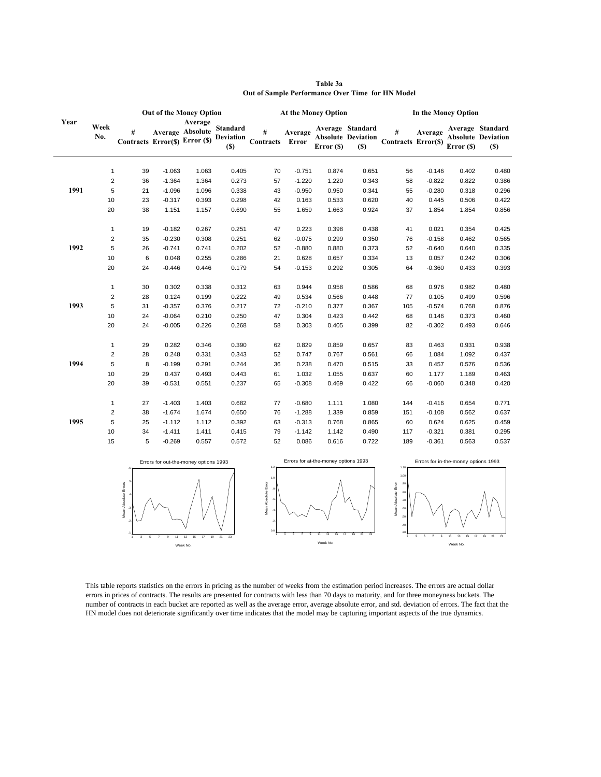| Table 3a                                         |  |  |  |  |  |  |  |  |  |
|--------------------------------------------------|--|--|--|--|--|--|--|--|--|
| Out of Sample Performance Over Time for HN Model |  |  |  |  |  |  |  |  |  |

| Year |                | Out of the Money Option                               |          |                             | At the Money Option            |                | In the Money Option |            |                                                      |                          |          |            |                                                      |
|------|----------------|-------------------------------------------------------|----------|-----------------------------|--------------------------------|----------------|---------------------|------------|------------------------------------------------------|--------------------------|----------|------------|------------------------------------------------------|
|      | Week<br>No.    | #<br>Contracts $Error(\mathbf{\tilde{s}})$ Error (\$) |          | Average<br>Average Absolute | Standard<br>Deviation<br>$(S)$ | #<br>Contracts | Average<br>Error    | Error (\$) | Average Standard<br><b>Absolute Deviation</b><br>(S) | #<br>Contracts Error(\$) | Average  | Error (\$) | Average Standard<br><b>Absolute Deviation</b><br>(S) |
|      | $\mathbf{1}$   | 39                                                    | $-1.063$ | 1.063                       | 0.405                          | 70             | $-0.751$            | 0.874      | 0.651                                                | 56                       | $-0.146$ | 0.402      | 0.480                                                |
|      | $\overline{c}$ | 36                                                    | $-1.364$ | 1.364                       | 0.273                          | 57             | $-1.220$            | 1.220      | 0.343                                                | 58                       | $-0.822$ | 0.822      | 0.386                                                |
| 1991 | 5              | 21                                                    | $-1.096$ | 1.096                       | 0.338                          | 43             | $-0.950$            | 0.950      | 0.341                                                | 55                       | $-0.280$ | 0.318      | 0.296                                                |
|      | 10             | 23                                                    | $-0.317$ | 0.393                       | 0.298                          | 42             | 0.163               | 0.533      | 0.620                                                | 40                       | 0.445    | 0.506      | 0.422                                                |
|      | 20             | 38                                                    | 1.151    | 1.157                       | 0.690                          | 55             | 1.659               | 1.663      | 0.924                                                | 37                       | 1.854    | 1.854      | 0.856                                                |
|      | $\mathbf{1}$   | 19                                                    | $-0.182$ | 0.267                       | 0.251                          | 47             | 0.223               | 0.398      | 0.438                                                | 41                       | 0.021    | 0.354      | 0.425                                                |
|      | $\overline{c}$ | 35                                                    | $-0.230$ | 0.308                       | 0.251                          | 62             | $-0.075$            | 0.299      | 0.350                                                | 76                       | $-0.158$ | 0.462      | 0.565                                                |
| 1992 | 5              | 26                                                    | $-0.741$ | 0.741                       | 0.202                          | 52             | $-0.880$            | 0.880      | 0.373                                                | 52                       | $-0.640$ | 0.640      | 0.335                                                |
|      | 10             | 6                                                     | 0.048    | 0.255                       | 0.286                          | 21             | 0.628               | 0.657      | 0.334                                                | 13                       | 0.057    | 0.242      | 0.306                                                |
|      | 20             | 24                                                    | $-0.446$ | 0.446                       | 0.179                          | 54             | $-0.153$            | 0.292      | 0.305                                                | 64                       | $-0.360$ | 0.433      | 0.393                                                |
|      | $\mathbf{1}$   | 30                                                    | 0.302    | 0.338                       | 0.312                          | 63             | 0.944               | 0.958      | 0.586                                                | 68                       | 0.976    | 0.982      | 0.480                                                |
|      | $\overline{c}$ | 28                                                    | 0.124    | 0.199                       | 0.222                          | 49             | 0.534               | 0.566      | 0.448                                                | 77                       | 0.105    | 0.499      | 0.596                                                |
| 1993 | 5              | 31                                                    | $-0.357$ | 0.376                       | 0.217                          | 72             | $-0.210$            | 0.377      | 0.367                                                | 105                      | $-0.574$ | 0.768      | 0.876                                                |
|      | 10             | 24                                                    | $-0.064$ | 0.210                       | 0.250                          | 47             | 0.304               | 0.423      | 0.442                                                | 68                       | 0.146    | 0.373      | 0.460                                                |
|      | 20             | 24                                                    | $-0.005$ | 0.226                       | 0.268                          | 58             | 0.303               | 0.405      | 0.399                                                | 82                       | $-0.302$ | 0.493      | 0.646                                                |
|      | $\mathbf{1}$   | 29                                                    | 0.282    | 0.346                       | 0.390                          | 62             | 0.829               | 0.859      | 0.657                                                | 83                       | 0.463    | 0.931      | 0.938                                                |
|      | $\sqrt{2}$     | 28                                                    | 0.248    | 0.331                       | 0.343                          | 52             | 0.747               | 0.767      | 0.561                                                | 66                       | 1.084    | 1.092      | 0.437                                                |
| 1994 | 5              | 8                                                     | $-0.199$ | 0.291                       | 0.244                          | 36             | 0.238               | 0.470      | 0.515                                                | 33                       | 0.457    | 0.576      | 0.536                                                |
|      | 10             | 29                                                    | 0.437    | 0.493                       | 0.443                          | 61             | 1.032               | 1.055      | 0.637                                                | 60                       | 1.177    | 1.189      | 0.463                                                |
|      | 20             | 39                                                    | $-0.531$ | 0.551                       | 0.237                          | 65             | $-0.308$            | 0.469      | 0.422                                                | 66                       | $-0.060$ | 0.348      | 0.420                                                |
|      | $\mathbf{1}$   | 27                                                    | $-1.403$ | 1.403                       | 0.682                          | 77             | $-0.680$            | 1.111      | 1.080                                                | 144                      | $-0.416$ | 0.654      | 0.771                                                |
|      | $\sqrt{2}$     | 38                                                    | $-1.674$ | 1.674                       | 0.650                          | 76             | $-1.288$            | 1.339      | 0.859                                                | 151                      | $-0.108$ | 0.562      | 0.637                                                |
| 1995 | 5              | 25                                                    | $-1.112$ | 1.112                       | 0.392                          | 63             | $-0.313$            | 0.768      | 0.865                                                | 60                       | 0.624    | 0.625      | 0.459                                                |
|      | 10             | 34                                                    | $-1.411$ | 1.411                       | 0.415                          | 79             | $-1.142$            | 1.142      | 0.490                                                | 117                      | $-0.321$ | 0.381      | 0.295                                                |
|      | 15             | 5                                                     | $-0.269$ | 0.557                       | 0.572                          | 52             | 0.086               | 0.616      | 0.722                                                | 189                      | $-0.361$ | 0.563      | 0.537                                                |







This table reports statistics on the errors in pricing as the number of weeks from the estimation period increases. The errors are actual dollar errors in prices of contracts. The results are presented for contracts with less than 70 days to maturity, and for three moneyness buckets. The number of contracts in each bucket are reported as well as the average error, average absolute error, and std. deviation of errors. The fact that the HN model does not deteriorate significantly over time indicates that the model may be capturing important aspects of the true dynamics.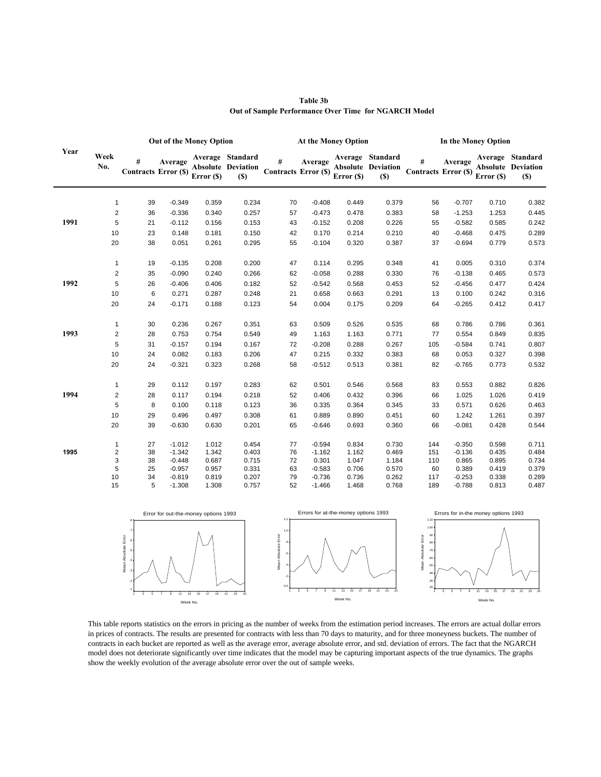| Table 3b                                                    |  |
|-------------------------------------------------------------|--|
| <b>Out of Sample Performance Over Time for NGARCH Model</b> |  |

|      |                         |                              |                      | Out of the Money Option |                                                      |                           | <b>At the Money Option</b> |                |                                                      | <b>In the Money Option</b> |                   |                |                                                        |
|------|-------------------------|------------------------------|----------------------|-------------------------|------------------------------------------------------|---------------------------|----------------------------|----------------|------------------------------------------------------|----------------------------|-------------------|----------------|--------------------------------------------------------|
| Year | Week<br>No.             | $\#$<br>Contracts Error (\$) | Average              | Error (\$)              | Average Standard<br><b>Absolute Deviation</b><br>(S) | #<br>Contracts Error (\$) | Average                    | Error (\$)     | Average Standard<br><b>Absolute Deviation</b><br>(S) | #<br>Contracts Error (\$)  | Average           | Error (\$)     | Average Standard<br><b>Absolute Deviation</b><br>$(s)$ |
|      | $\mathbf{1}$            | 39                           | $-0.349$             | 0.359                   | 0.234                                                | 70                        | $-0.408$                   | 0.449          | 0.379                                                | 56                         | $-0.707$          | 0.710          | 0.382                                                  |
|      | $\overline{c}$          | 36                           | $-0.336$             | 0.340                   | 0.257                                                | 57                        | $-0.473$                   | 0.478          | 0.383                                                | 58                         | $-1.253$          | 1.253          | 0.445                                                  |
| 1991 | 5                       | 21                           | $-0.112$             | 0.156                   | 0.153                                                | 43                        | $-0.152$                   | 0.208          | 0.226                                                | 55                         | $-0.582$          | 0.585          | 0.242                                                  |
|      | 10                      | 23                           | 0.148                | 0.181                   | 0.150                                                | 42                        | 0.170                      | 0.214          | 0.210                                                | 40                         | $-0.468$          | 0.475          | 0.289                                                  |
|      | 20                      | 38                           | 0.051                | 0.261                   | 0.295                                                | 55                        | $-0.104$                   | 0.320          | 0.387                                                | 37                         | $-0.694$          | 0.779          | 0.573                                                  |
|      | $\mathbf{1}$            | 19                           | $-0.135$             | 0.208                   | 0.200                                                | 47                        | 0.114                      | 0.295          | 0.348                                                | 41                         | 0.005             | 0.310          | 0.374                                                  |
|      | 2                       | 35                           | $-0.090$             | 0.240                   | 0.266                                                | 62                        | $-0.058$                   | 0.288          | 0.330                                                | 76                         | $-0.138$          | 0.465          | 0.573                                                  |
| 1992 | 5                       | 26                           | $-0.406$             | 0.406                   | 0.182                                                | 52                        | $-0.542$                   | 0.568          | 0.453                                                | 52                         | $-0.456$          | 0.477          | 0.424                                                  |
|      | 10                      | 6                            | 0.271                | 0.287                   | 0.248                                                | 21                        | 0.658                      | 0.663          | 0.291                                                | 13                         | 0.100             | 0.242          | 0.316                                                  |
|      | 20                      | 24                           | $-0.171$             | 0.188                   | 0.123                                                | 54                        | 0.004                      | 0.175          | 0.209                                                | 64                         | $-0.265$          | 0.412          | 0.417                                                  |
|      | $\mathbf{1}$            | 30                           | 0.236                | 0.267                   | 0.351                                                | 63                        | 0.509                      | 0.526          | 0.535                                                | 68                         | 0.786             | 0.786          | 0.361                                                  |
| 1993 | 2                       | 28                           | 0.753                | 0.754                   | 0.549                                                | 49                        | 1.163                      | 1.163          | 0.771                                                | 77                         | 0.554             | 0.849          | 0.835                                                  |
|      | 5                       | 31                           | $-0.157$             | 0.194                   | 0.167                                                | 72                        | $-0.208$                   | 0.288          | 0.267                                                | 105                        | $-0.584$          | 0.741          | 0.807                                                  |
|      | 10                      | 24                           | 0.082                | 0.183                   | 0.206                                                | 47                        | 0.215                      | 0.332          | 0.383                                                | 68                         | 0.053             | 0.327          | 0.398                                                  |
|      | 20                      | 24                           | $-0.321$             | 0.323                   | 0.268                                                | 58                        | $-0.512$                   | 0.513          | 0.381                                                | 82                         | $-0.765$          | 0.773          | 0.532                                                  |
|      | $\mathbf{1}$            | 29                           | 0.112                | 0.197                   | 0.283                                                | 62                        | 0.501                      | 0.546          | 0.568                                                | 83                         | 0.553             | 0.882          | 0.826                                                  |
| 1994 | $\overline{c}$          | 28                           | 0.117                | 0.194                   | 0.218                                                | 52                        | 0.406                      | 0.432          | 0.396                                                | 66                         | 1.025             | 1.026          | 0.419                                                  |
|      | 5                       | 8                            | 0.100                | 0.118                   | 0.123                                                | 36                        | 0.335                      | 0.364          | 0.345                                                | 33                         | 0.571             | 0.626          | 0.463                                                  |
|      | 10                      | 29                           | 0.496                | 0.497                   | 0.308                                                | 61                        | 0.889                      | 0.890          | 0.451                                                | 60                         | 1.242             | 1.261          | 0.397                                                  |
|      | 20                      | 39                           | $-0.630$             | 0.630                   | 0.201                                                | 65                        | $-0.646$                   | 0.693          | 0.360                                                | 66                         | $-0.081$          | 0.428          | 0.544                                                  |
|      | $\mathbf{1}$            | 27                           | $-1.012$             | 1.012                   | 0.454                                                | 77                        | $-0.594$                   | 0.834          | 0.730                                                | 144                        | $-0.350$          | 0.598          | 0.711                                                  |
| 1995 | $\overline{\mathbf{c}}$ | 38                           | $-1.342$             | 1.342                   | 0.403                                                | 76                        | $-1.162$                   | 1.162          | 0.469                                                | 151                        | $-0.136$          | 0.435          | 0.484                                                  |
|      | 3                       | 38                           | $-0.448$             | 0.687                   | 0.715                                                | 72                        | 0.301                      | 1.047          | 1.184                                                | 110                        | 0.865             | 0.895          | 0.734                                                  |
|      | 5<br>10                 | 25<br>34                     | $-0.957$<br>$-0.819$ | 0.957<br>0.819          | 0.331<br>0.207                                       | 63<br>79                  | $-0.583$<br>$-0.736$       | 0.706<br>0.736 | 0.570<br>0.262                                       | 60<br>117                  | 0.389<br>$-0.253$ | 0.419<br>0.338 | 0.379<br>0.289                                         |
|      | 15                      | 5                            | $-1.308$             | 1.308                   | 0.757                                                | 52                        | $-1.466$                   | 1.468          | 0.768                                                | 189                        | $-0.788$          | 0.813          | 0.487                                                  |



This table reports statistics on the errors in pricing as the number of weeks from the estimation period increases. The errors are actual dollar errors in prices of contracts. The results are presented for contracts with less than 70 days to maturity, and for three moneyness buckets. The number of contracts in each bucket are reported as well as the average error, average absolute error, and std. deviation of errors. The fact that the NGARCH model does not deteriorate significantly over time indicates that the model may be capturing important aspects of the true dynamics. The graphs show the weekly evolution of the average absolute error over the out of sample weeks.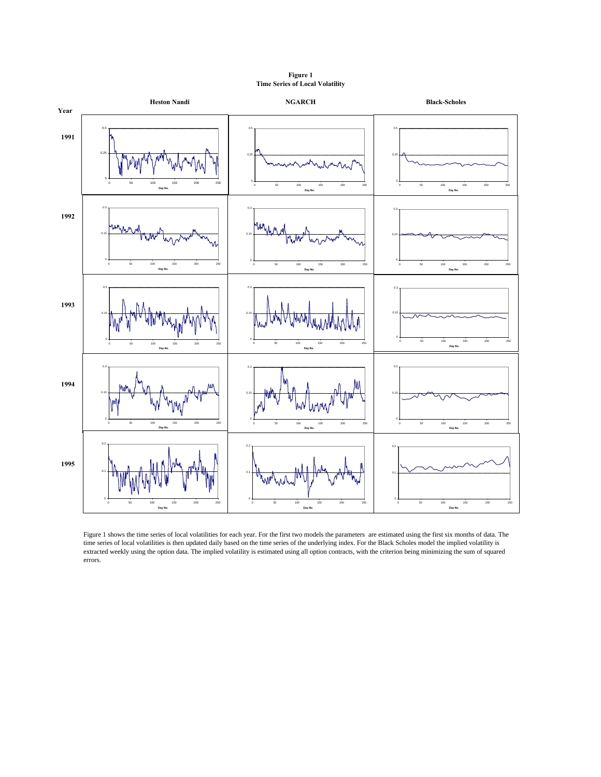**Figure 1 Time Series of Local Volatility**



Figure 1 shows the time series of local volatilities for each year. For the first two models the parameters are estimated using the first six months of data. The time series of local volatilities is then updated daily based on the time series of the underlying index. For the Black Scholes model the implied volatility is extracted weekly using the option data. The implied volatility is estimated using all option contracts, with the criterion being minimizing the sum of squared errors.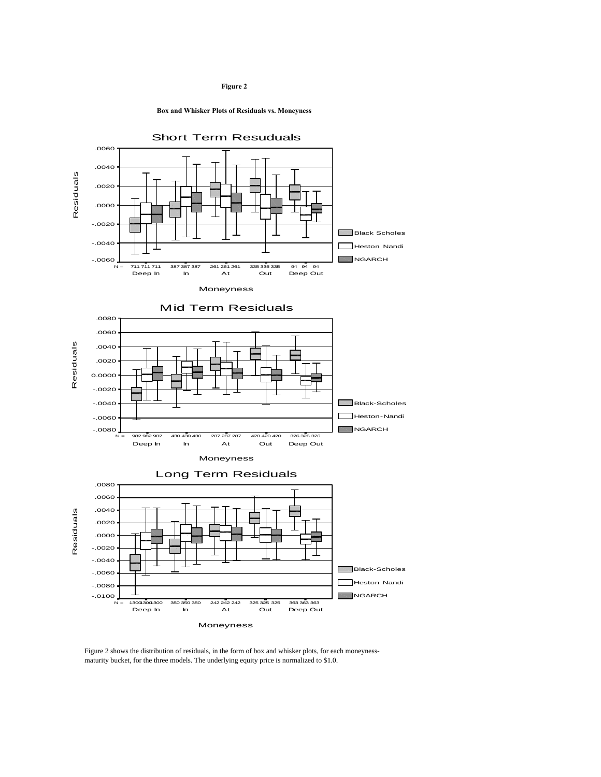#### **Figure 2**

#### **Box and Whisker Plots of Residuals vs. Moneyness**



Figure 2 shows the distribution of residuals, in the form of box and whisker plots, for each moneynessmaturity bucket, for the three models. The underlying equity price is normalized to \$1.0.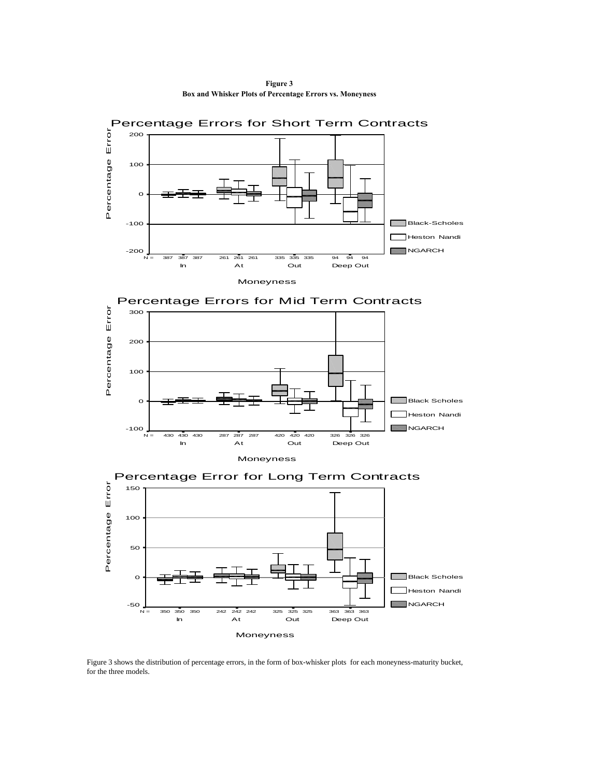



Figure 3 shows the distribution of percentage errors, in the form of box-whisker plots for each moneyness-maturity bucket, for the three models.

Moneyness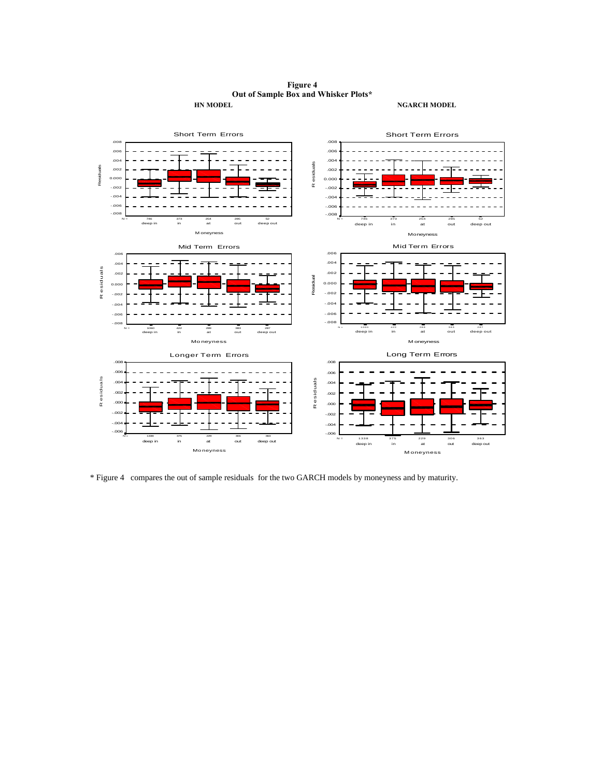

**HN MODEL NGARCH MODEL Figure 4 Out of Sample Box and Whisker Plots\***

\* Figure 4 compares the out of sample residuals for the two GARCH models by moneyness and by maturity.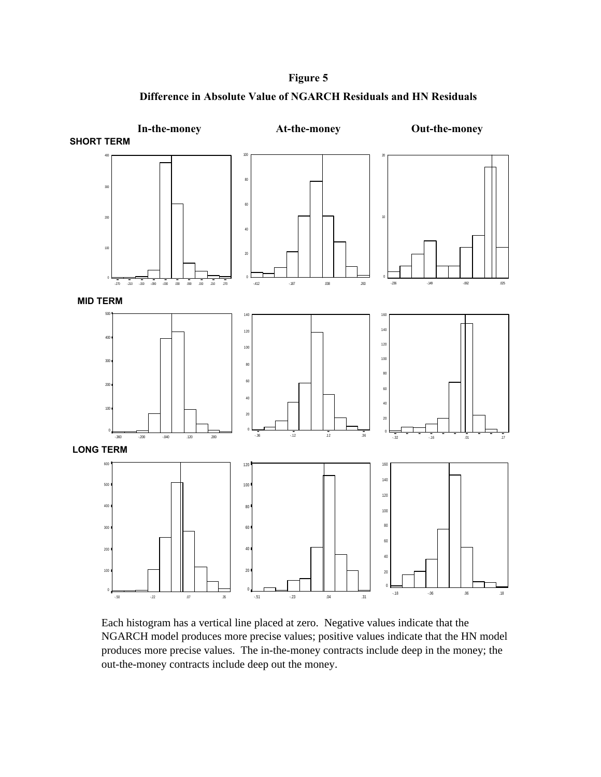



Each histogram has a vertical line placed at zero. Negative values indicate that the NGARCH model produces more precise values; positive values indicate that the HN model produces more precise values. The in-the-money contracts include deep in the money; the out-the-money contracts include deep out the money.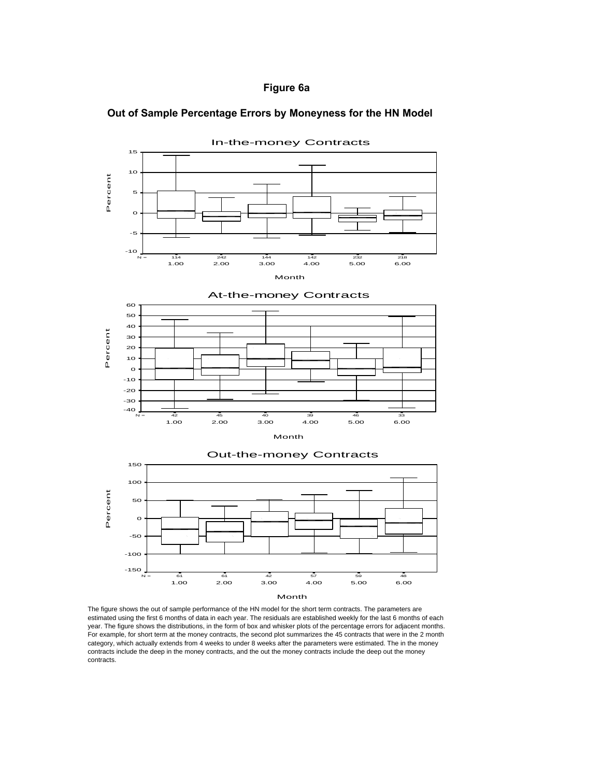### **Figure 6a**





Month

The figure shows the out of sample performance of the HN model for the short term contracts. The parameters are estimated using the first 6 months of data in each year. The residuals are established weekly for the last 6 months of each year. The figure shows the distributions, in the form of box and whisker plots of the percentage errors for adjacent months. For example, for short term at the money contracts, the second plot summarizes the 45 contracts that were in the 2 month category, which actually extends from 4 weeks to under 8 weeks after the parameters were estimated. The in the money contracts include the deep in the money contracts, and the out the money contracts include the deep out the money contracts.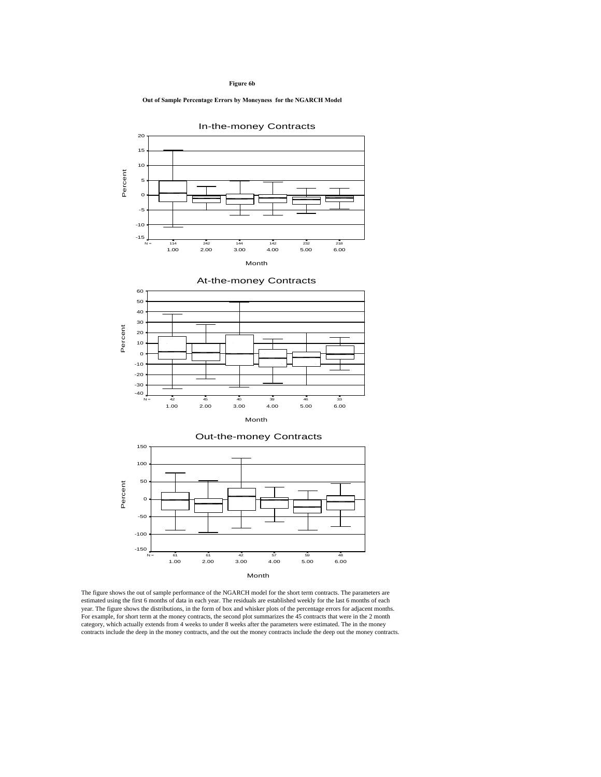#### **Figure 6b**

#### **Out of Sample Percentage Errors by Moneyness for the NGARCH Model**



At-the-money Contracts





The figure shows the out of sample performance of the NGARCH model for the short term contracts. The parameters are estimated using the first 6 months of data in each year. The residuals are established weekly for the last 6 months of each year. The figure shows the distributions, in the form of box and whisker plots of the percentage errors for adjacent months. For example, for short term at the money contracts, the second plot summarizes the 45 contracts that were in the 2 month category, which actually extends from 4 weeks to under 8 weeks after the parameters were estimated. The in the money contracts include the deep in the money contracts, and the out the money contracts include the deep out the money contracts.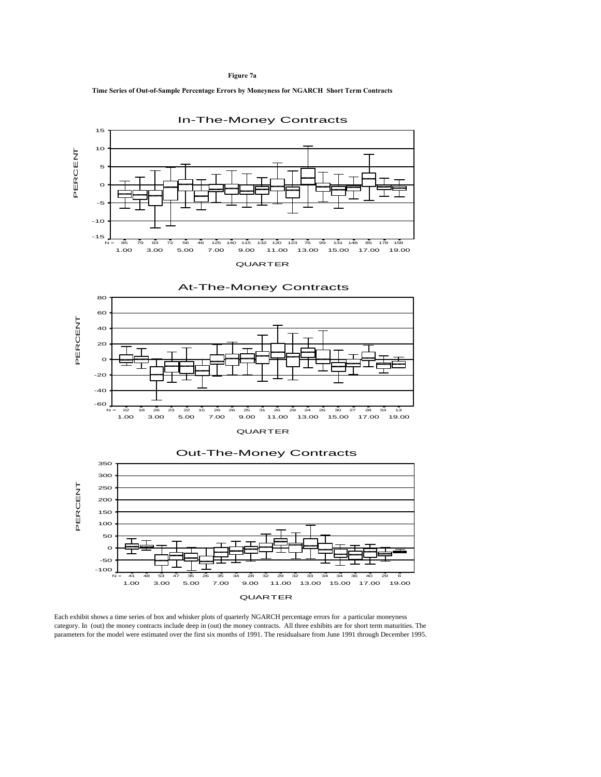#### **Figure 7a**

**Time Series of Out-of-Sample Percentage Errors by Moneyness for NGARCH Short Term Contracts**



#### In-The-Money Contracts







Each exhibit shows a time series of box and whisker plots of quarterly NGARCH percentage errors for a particular moneyness category. In (out) the money contracts include deep in (out) the money contracts. All three exhibits are for short term maturities. The parameters for the model were estimated over the first six months of 1991. The residualsare from June 1991 through December 1995.